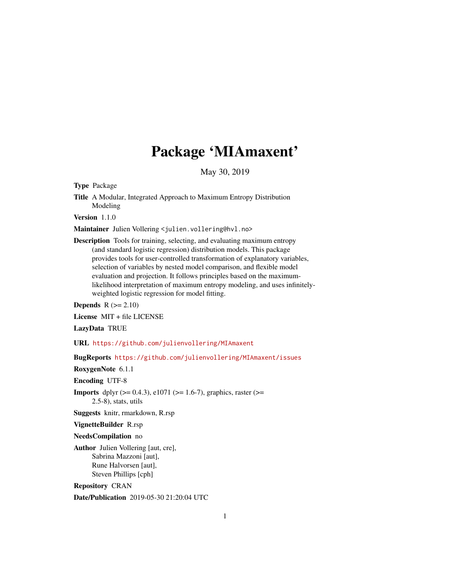## Package 'MIAmaxent'

May 30, 2019

Type Package

Title A Modular, Integrated Approach to Maximum Entropy Distribution Modeling

Version 1.1.0

Maintainer Julien Vollering <julien.vollering@hvl.no>

Description Tools for training, selecting, and evaluating maximum entropy (and standard logistic regression) distribution models. This package provides tools for user-controlled transformation of explanatory variables, selection of variables by nested model comparison, and flexible model evaluation and projection. It follows principles based on the maximumlikelihood interpretation of maximum entropy modeling, and uses infinitelyweighted logistic regression for model fitting.

Depends  $R (= 2.10)$ 

License MIT + file LICENSE

LazyData TRUE

URL <https://github.com/julienvollering/MIAmaxent>

BugReports <https://github.com/julienvollering/MIAmaxent/issues>

RoxygenNote 6.1.1

Encoding UTF-8

**Imports** dplyr ( $> = 0.4.3$ ), e1071 ( $> = 1.6-7$ ), graphics, raster ( $> =$ 2.5-8), stats, utils

Suggests knitr, rmarkdown, R.rsp

VignetteBuilder R.rsp

NeedsCompilation no

Author Julien Vollering [aut, cre], Sabrina Mazzoni [aut], Rune Halvorsen [aut], Steven Phillips [cph]

Repository CRAN

Date/Publication 2019-05-30 21:20:04 UTC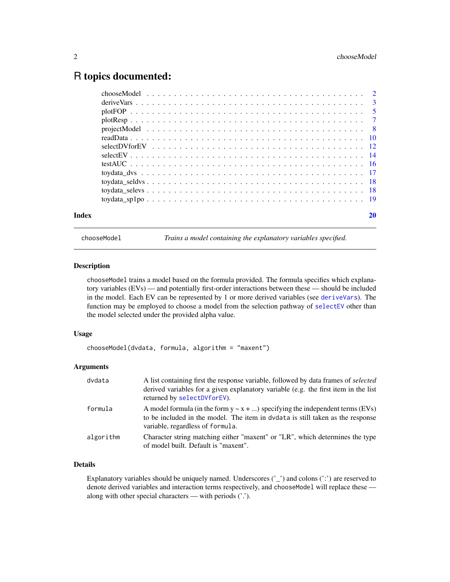#### <span id="page-1-0"></span>R topics documented:

| Index |  |
|-------|--|

<span id="page-1-1"></span>chooseModel *Trains a model containing the explanatory variables specified.*

#### Description

chooseModel trains a model based on the formula provided. The formula specifies which explanatory variables (EVs) — and potentially first-order interactions between these — should be included in the model. Each EV can be represented by 1 or more derived variables (see [deriveVars](#page-2-1)). The function may be employed to choose a model from the selection pathway of [selectEV](#page-13-1) other than the model selected under the provided alpha value.

#### Usage

```
chooseModel(dvdata, formula, algorithm = "maxent")
```
#### Arguments

| dvdata    | A list containing first the response variable, followed by data frames of <i>selected</i><br>derived variables for a given explanatory variable (e.g. the first item in the list<br>returned by selectDVforEV). |
|-----------|-----------------------------------------------------------------------------------------------------------------------------------------------------------------------------------------------------------------|
| formula   | A model formula (in the form $y \sim x + $ ) specifying the independent terms (EVs)<br>to be included in the model. The item in dvdata is still taken as the response<br>variable, regardless of formula.       |
| algorithm | Character string matching either "maxent" or "LR", which determines the type<br>of model built. Default is "maxent".                                                                                            |

#### Details

Explanatory variables should be uniquely named. Underscores  $('')$  and colons  $('')$  are reserved to denote derived variables and interaction terms respectively, and chooseModel will replace these along with other special characters — with periods ('.').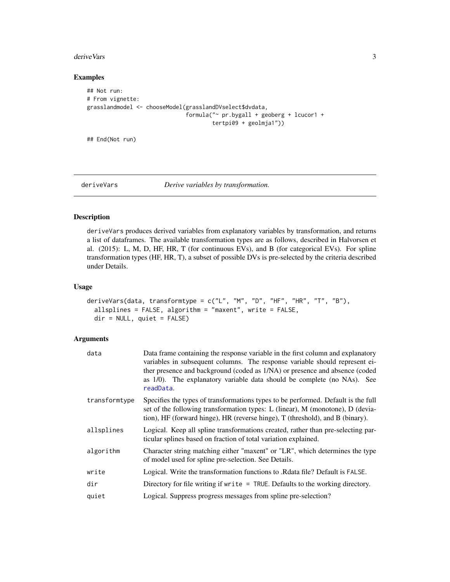#### <span id="page-2-0"></span>deriveVars 3

#### Examples

```
## Not run:
# From vignette:
grasslandmodel <- chooseModel(grasslandDVselect$dvdata,
                              formula("~ pr.bygall + geoberg + lcucor1 +
                                      tertpi09 + geolmja1"))
```
## End(Not run)

<span id="page-2-1"></span>

#### deriveVars *Derive variables by transformation.*

#### Description

deriveVars produces derived variables from explanatory variables by transformation, and returns a list of dataframes. The available transformation types are as follows, described in Halvorsen et al. (2015): L, M, D, HF, HR, T (for continuous EVs), and B (for categorical EVs). For spline transformation types (HF, HR, T), a subset of possible DVs is pre-selected by the criteria described under Details.

#### Usage

```
deriveVars(data, transformtype = c("L", "M", "D", "HF", "HR", "T", "B"),
  allsplines = FALSE, algorithm = "maxent", write = FALSE,
  dir = NULL, quiet = FALSE)
```

| data          | Data frame containing the response variable in the first column and explanatory<br>variables in subsequent columns. The response variable should represent ei-<br>ther presence and background (coded as 1/NA) or presence and absence (coded<br>as 1/0). The explanatory variable data should be complete (no NAs). See<br>readData. |
|---------------|---------------------------------------------------------------------------------------------------------------------------------------------------------------------------------------------------------------------------------------------------------------------------------------------------------------------------------------|
| transformtype | Specifies the types of transformations types to be performed. Default is the full<br>set of the following transformation types: L (linear), M (monotone), D (devia-<br>tion), HF (forward hinge), HR (reverse hinge), T (threshold), and B (binary).                                                                                  |
| allsplines    | Logical. Keep all spline transformations created, rather than pre-selecting par-<br>ticular splines based on fraction of total variation explained.                                                                                                                                                                                   |
| algorithm     | Character string matching either "maxent" or "LR", which determines the type<br>of model used for spline pre-selection. See Details.                                                                                                                                                                                                  |
| write         | Logical. Write the transformation functions to . Redultare 1 Default is FALSE.                                                                                                                                                                                                                                                        |
| dir           | Directory for file writing if write $=$ TRUE. Defaults to the working directory.                                                                                                                                                                                                                                                      |
| quiet         | Logical. Suppress progress messages from spline pre-selection?                                                                                                                                                                                                                                                                        |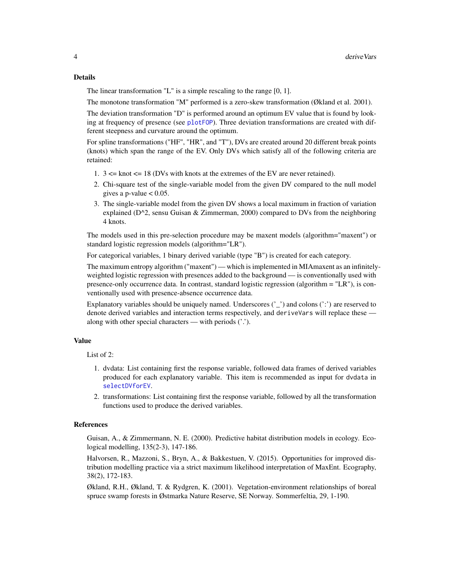#### <span id="page-3-0"></span>Details

The linear transformation "L" is a simple rescaling to the range [0, 1].

The monotone transformation "M" performed is a zero-skew transformation (Økland et al. 2001).

The deviation transformation "D" is performed around an optimum EV value that is found by looking at frequency of presence (see [plotFOP](#page-4-1)). Three deviation transformations are created with different steepness and curvature around the optimum.

For spline transformations ("HF", "HR", and "T"), DVs are created around 20 different break points (knots) which span the range of the EV. Only DVs which satisfy all of the following criteria are retained:

- 1.  $3 \leq$  knot  $\leq$  18 (DVs with knots at the extremes of the EV are never retained).
- 2. Chi-square test of the single-variable model from the given DV compared to the null model gives a p-value  $< 0.05$ .
- 3. The single-variable model from the given DV shows a local maximum in fraction of variation explained ( $D^2$ , sensu Guisan & Zimmerman, 2000) compared to DVs from the neighboring 4 knots.

The models used in this pre-selection procedure may be maxent models (algorithm="maxent") or standard logistic regression models (algorithm="LR").

For categorical variables, 1 binary derived variable (type "B") is created for each category.

The maximum entropy algorithm ("maxent") — which is implemented in MIAmaxent as an infinitelyweighted logistic regression with presences added to the background — is conventionally used with presence-only occurrence data. In contrast, standard logistic regression (algorithm = "LR"), is conventionally used with presence-absence occurrence data.

Explanatory variables should be uniquely named. Underscores  $('')$  and colons  $('')$  are reserved to denote derived variables and interaction terms respectively, and deriveVars will replace these along with other special characters — with periods ('.').

#### Value

List of 2:

- 1. dvdata: List containing first the response variable, followed data frames of derived variables produced for each explanatory variable. This item is recommended as input for dvdata in [selectDVforEV](#page-11-1).
- 2. transformations: List containing first the response variable, followed by all the transformation functions used to produce the derived variables.

#### References

Guisan, A., & Zimmermann, N. E. (2000). Predictive habitat distribution models in ecology. Ecological modelling, 135(2-3), 147-186.

Halvorsen, R., Mazzoni, S., Bryn, A., & Bakkestuen, V. (2015). Opportunities for improved distribution modelling practice via a strict maximum likelihood interpretation of MaxEnt. Ecography, 38(2), 172-183.

Økland, R.H., Økland, T. & Rydgren, K. (2001). Vegetation-environment relationships of boreal spruce swamp forests in Østmarka Nature Reserve, SE Norway. Sommerfeltia, 29, 1-190.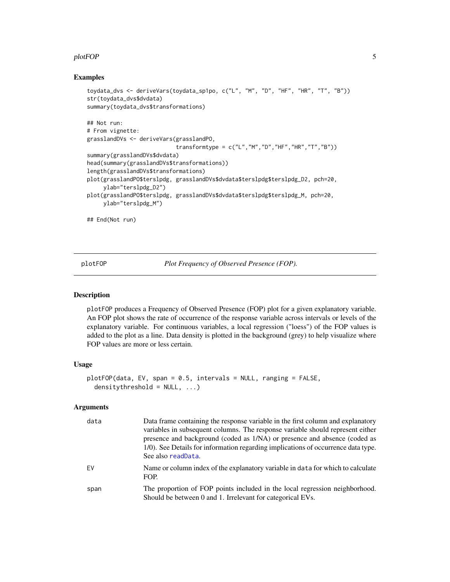#### <span id="page-4-0"></span>plotFOP 5

#### Examples

```
toydata_dvs <- deriveVars(toydata_sp1po, c("L", "M", "D", "HF", "HR", "T", "B"))
str(toydata_dvs$dvdata)
summary(toydata_dvs$transformations)
## Not run:
# From vignette:
grasslandDVs <- deriveVars(grasslandPO,
                           transformtype = c("L","M","D","HF","HR","T","B"))
summary(grasslandDVs$dvdata)
head(summary(grasslandDVs$transformations))
length(grasslandDVs$transformations)
plot(grasslandPO$terslpdg, grasslandDVs$dvdata$terslpdg$terslpdg_D2, pch=20,
     ylab="terslpdg_D2")
plot(grasslandPO$terslpdg, grasslandDVs$dvdata$terslpdg$terslpdg_M, pch=20,
    ylab="terslpdg_M")
## End(Not run)
```
<span id="page-4-1"></span>plotFOP *Plot Frequency of Observed Presence (FOP).*

#### Description

plotFOP produces a Frequency of Observed Presence (FOP) plot for a given explanatory variable. An FOP plot shows the rate of occurrence of the response variable across intervals or levels of the explanatory variable. For continuous variables, a local regression ("loess") of the FOP values is added to the plot as a line. Data density is plotted in the background (grey) to help visualize where FOP values are more or less certain.

#### Usage

```
plotFOP(data, EV, span = 0.5, intervals = NULL, ranging = FALSE,
  densitythreshold = NULL, ...)
```

| data | Data frame containing the response variable in the first column and explanatory<br>variables in subsequent columns. The response variable should represent either<br>presence and background (coded as 1/NA) or presence and absence (coded as<br>1/0). See Details for information regarding implications of occurrence data type.<br>See also readData. |
|------|-----------------------------------------------------------------------------------------------------------------------------------------------------------------------------------------------------------------------------------------------------------------------------------------------------------------------------------------------------------|
| EV.  | Name or column index of the explanatory variable in data for which to calculate<br>FOP.                                                                                                                                                                                                                                                                   |
| span | The proportion of FOP points included in the local regression neighborhood.<br>Should be between 0 and 1. Irrelevant for categorical EVs.                                                                                                                                                                                                                 |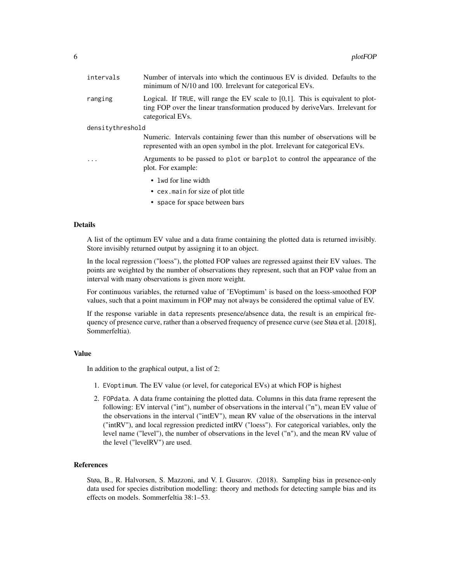| intervals        | Number of intervals into which the continuous EV is divided. Defaults to the<br>minimum of N/10 and 100. Irrelevant for categorical EVs.                                                 |  |
|------------------|------------------------------------------------------------------------------------------------------------------------------------------------------------------------------------------|--|
| ranging          | Logical. If TRUE, will range the EV scale to $[0,1]$ . This is equivalent to plot-<br>ting FOP over the linear transformation produced by deriveVars. Irrelevant for<br>categorical EVs. |  |
| densitythreshold |                                                                                                                                                                                          |  |
|                  | Numeric. Intervals containing fewer than this number of observations will be<br>represented with an open symbol in the plot. Irrelevant for categorical EVs.                             |  |
| $\cdot$          | Arguments to be passed to plot or barplot to control the appearance of the<br>plot. For example:                                                                                         |  |
|                  | • lwd for line width<br>• cex. main for size of plot title                                                                                                                               |  |
|                  |                                                                                                                                                                                          |  |

• space for space between bars

#### Details

A list of the optimum EV value and a data frame containing the plotted data is returned invisibly. Store invisibly returned output by assigning it to an object.

In the local regression ("loess"), the plotted FOP values are regressed against their EV values. The points are weighted by the number of observations they represent, such that an FOP value from an interval with many observations is given more weight.

For continuous variables, the returned value of 'EVoptimum' is based on the loess-smoothed FOP values, such that a point maximum in FOP may not always be considered the optimal value of EV.

If the response variable in data represents presence/absence data, the result is an empirical frequency of presence curve, rather than a observed frequency of presence curve (see Støa et al. [2018], Sommerfeltia).

#### Value

In addition to the graphical output, a list of 2:

- 1. EVoptimum. The EV value (or level, for categorical EVs) at which FOP is highest
- 2. FOPdata. A data frame containing the plotted data. Columns in this data frame represent the following: EV interval ("int"), number of observations in the interval ("n"), mean EV value of the observations in the interval ("intEV"), mean RV value of the observations in the interval ("intRV"), and local regression predicted intRV ("loess"). For categorical variables, only the level name ("level"), the number of observations in the level ("n"), and the mean RV value of the level ("levelRV") are used.

#### References

Støa, B., R. Halvorsen, S. Mazzoni, and V. I. Gusarov. (2018). Sampling bias in presence-only data used for species distribution modelling: theory and methods for detecting sample bias and its effects on models. Sommerfeltia 38:1–53.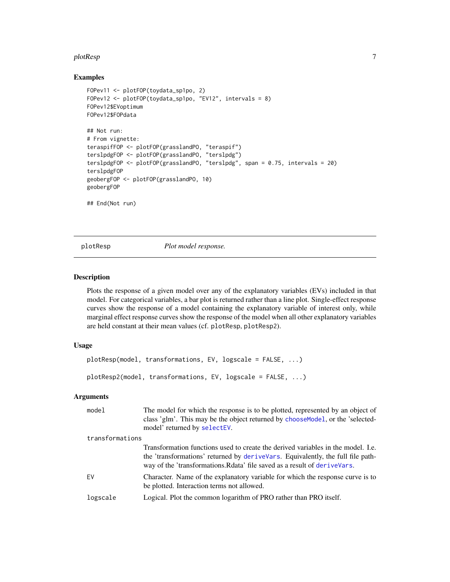#### <span id="page-6-0"></span>plotResp 7 and 2008 and 2008 and 2008 and 2008 and 2008 and 2008 and 2008 and 2008 and 2008 and 2008 and 2008

#### Examples

```
FOPev11 <- plotFOP(toydata_sp1po, 2)
FOPev12 <- plotFOP(toydata_sp1po, "EV12", intervals = 8)
FOPev12$EVoptimum
FOPev12$FOPdata
## Not run:
# From vignette:
teraspifFOP <- plotFOP(grasslandPO, "teraspif")
terslpdgFOP <- plotFOP(grasslandPO, "terslpdg")
terslpdgFOP <- plotFOP(grasslandPO, "terslpdg", span = 0.75, intervals = 20)
terslpdgFOP
geobergFOP <- plotFOP(grasslandPO, 10)
geobergFOP
## End(Not run)
```
plotResp *Plot model response.*

#### Description

Plots the response of a given model over any of the explanatory variables (EVs) included in that model. For categorical variables, a bar plot is returned rather than a line plot. Single-effect response curves show the response of a model containing the explanatory variable of interest only, while marginal effect response curves show the response of the model when all other explanatory variables are held constant at their mean values (cf. plotResp, plotResp2).

#### Usage

```
plotResp(model, transformations, EV, logscale = FALSE, ...)
plotResp2(model, transformations, EV, logscale = FALSE, ...)
```

| model           | The model for which the response is to be plotted, represented by an object of<br>class 'glm'. This may be the object returned by choose Model, or the 'selected-<br>model' returned by selectEV.                                                   |
|-----------------|-----------------------------------------------------------------------------------------------------------------------------------------------------------------------------------------------------------------------------------------------------|
| transformations |                                                                                                                                                                                                                                                     |
|                 | Transformation functions used to create the derived variables in the model. I.e.<br>the 'transformations' returned by derive Vars. Equivalently, the full file path-<br>way of the 'transformations. Relate' file saved as a result of derive Vars. |
| <b>FV</b>       | Character. Name of the explanatory variable for which the response curve is to<br>be plotted. Interaction terms not allowed.                                                                                                                        |
| logscale        | Logical. Plot the common logarithm of PRO rather than PRO itself.                                                                                                                                                                                   |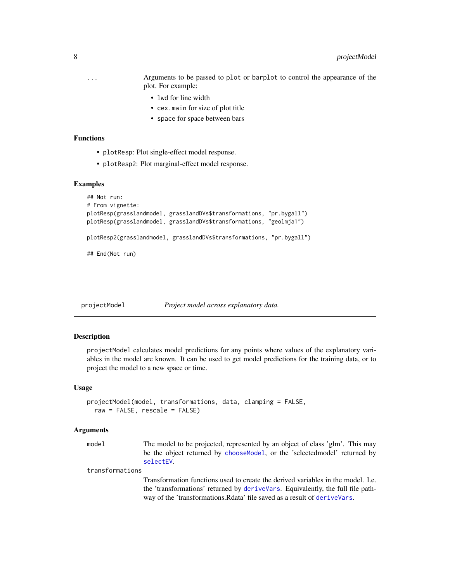- <span id="page-7-0"></span>... Arguments to be passed to plot or barplot to control the appearance of the plot. For example:
	- lwd for line width
	- cex.main for size of plot title
	- space for space between bars

#### Functions

- plotResp: Plot single-effect model response.
- plotResp2: Plot marginal-effect model response.

#### Examples

```
## Not run:
# From vignette:
plotResp(grasslandmodel, grasslandDVs$transformations, "pr.bygall")
plotResp(grasslandmodel, grasslandDVs$transformations, "geolmja1")
plotResp2(grasslandmodel, grasslandDVs$transformations, "pr.bygall")
## End(Not run)
```
#### projectModel *Project model across explanatory data.*

#### Description

projectModel calculates model predictions for any points where values of the explanatory variables in the model are known. It can be used to get model predictions for the training data, or to project the model to a new space or time.

#### Usage

```
projectModel(model, transformations, data, clamping = FALSE,
  raw = FALSE, rescale = FALSE)
```
#### Arguments

model The model to be projected, represented by an object of class 'glm'. This may be the object returned by [chooseModel](#page-1-1), or the 'selectedmodel' returned by [selectEV](#page-13-1).

#### transformations

Transformation functions used to create the derived variables in the model. I.e. the 'transformations' returned by [deriveVars](#page-2-1). Equivalently, the full file pathway of the 'transformations.Rdata' file saved as a result of [deriveVars](#page-2-1).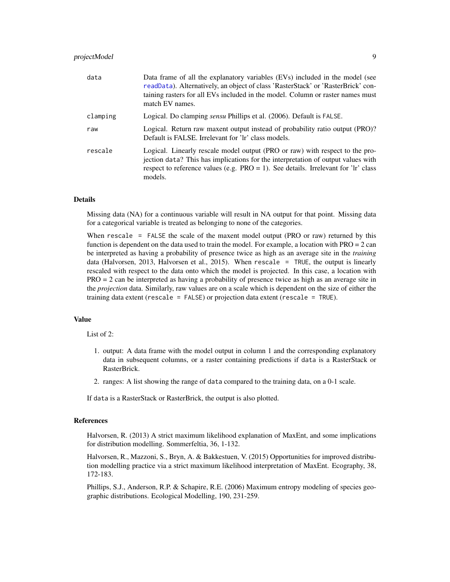#### <span id="page-8-0"></span>projectModel 9

| data     | Data frame of all the explanatory variables (EVs) included in the model (see<br>readData). Alternatively, an object of class 'RasterStack' or 'RasterBrick' con-<br>taining rasters for all EVs included in the model. Column or raster names must<br>match EV names. |
|----------|-----------------------------------------------------------------------------------------------------------------------------------------------------------------------------------------------------------------------------------------------------------------------|
| clamping | Logical. Do clamping <i>sensu</i> Phillips et al. (2006). Default is FALSE.                                                                                                                                                                                           |
| raw      | Logical. Return raw maxent output instead of probability ratio output (PRO)?<br>Default is FALSE. Irrelevant for 'lr' class models.                                                                                                                                   |
| rescale  | Logical. Linearly rescale model output (PRO or raw) with respect to the pro-<br>jection data? This has implications for the interpretation of output values with<br>respect to reference values (e.g. $PRO = 1$ ). See details. Irrelevant for 'lr' class<br>models.  |

#### Details

Missing data (NA) for a continuous variable will result in NA output for that point. Missing data for a categorical variable is treated as belonging to none of the categories.

When rescale = FALSE the scale of the maxent model output (PRO or raw) returned by this function is dependent on the data used to train the model. For example, a location with  $PRO = 2$  can be interpreted as having a probability of presence twice as high as an average site in the *training* data (Halvorsen, 2013, Halvorsen et al., 2015). When rescale = TRUE, the output is linearly rescaled with respect to the data onto which the model is projected. In this case, a location with PRO = 2 can be interpreted as having a probability of presence twice as high as an average site in the *projection* data. Similarly, raw values are on a scale which is dependent on the size of either the training data extent (rescale = FALSE) or projection data extent (rescale = TRUE).

#### Value

#### List of 2:

- 1. output: A data frame with the model output in column 1 and the corresponding explanatory data in subsequent columns, or a raster containing predictions if data is a RasterStack or RasterBrick.
- 2. ranges: A list showing the range of data compared to the training data, on a 0-1 scale.

If data is a RasterStack or RasterBrick, the output is also plotted.

#### References

Halvorsen, R. (2013) A strict maximum likelihood explanation of MaxEnt, and some implications for distribution modelling. Sommerfeltia, 36, 1-132.

Halvorsen, R., Mazzoni, S., Bryn, A. & Bakkestuen, V. (2015) Opportunities for improved distribution modelling practice via a strict maximum likelihood interpretation of MaxEnt. Ecography, 38, 172-183.

Phillips, S.J., Anderson, R.P. & Schapire, R.E. (2006) Maximum entropy modeling of species geographic distributions. Ecological Modelling, 190, 231-259.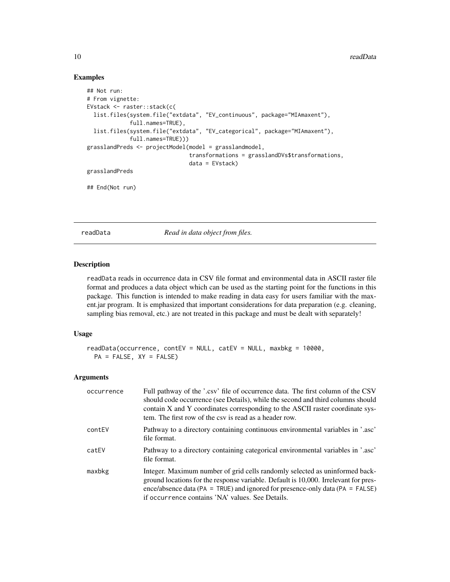#### Examples

```
## Not run:
# From vignette:
EVstack <- raster::stack(c(
  list.files(system.file("extdata", "EV_continuous", package="MIAmaxent"),
             full.names=TRUE),
  list.files(system.file("extdata", "EV_categorical", package="MIAmaxent"),
             full.names=TRUE)))
grasslandPreds <- projectModel(model = grasslandmodel,
                               transformations = grasslandDVs$transformations,
                               data = EVstack)
grasslandPreds
## End(Not run)
```
<span id="page-9-1"></span>readData *Read in data object from files.*

#### Description

readData reads in occurrence data in CSV file format and environmental data in ASCII raster file format and produces a data object which can be used as the starting point for the functions in this package. This function is intended to make reading in data easy for users familiar with the maxent.jar program. It is emphasized that important considerations for data preparation (e.g. cleaning, sampling bias removal, etc.) are not treated in this package and must be dealt with separately!

#### Usage

```
readData(occurrence, contEV = NULL, catEV = NULL, maxbkg = 10000,
 PA = FALSE, XY = FALSE)
```

| occurrence | Full pathway of the '.csv' file of occurrence data. The first column of the CSV<br>should code occurrence (see Details), while the second and third columns should<br>contain X and Y coordinates corresponding to the ASCII raster coordinate sys-<br>tem. The first row of the csy is read as a header row. |
|------------|---------------------------------------------------------------------------------------------------------------------------------------------------------------------------------------------------------------------------------------------------------------------------------------------------------------|
| contEV     | Pathway to a directory containing continuous environmental variables in '.asc'<br>file format.                                                                                                                                                                                                                |
| catEV      | Pathway to a directory containing categorical environmental variables in '.asc'<br>file format.                                                                                                                                                                                                               |
| maxbkg     | Integer. Maximum number of grid cells randomly selected as uninformed back-<br>ground locations for the response variable. Default is 10,000. Irrelevant for pres-<br>ence/absence data (PA = TRUE) and ignored for presence-only data (PA = FALSE)<br>if occurrence contains 'NA' values. See Details.       |

<span id="page-9-0"></span>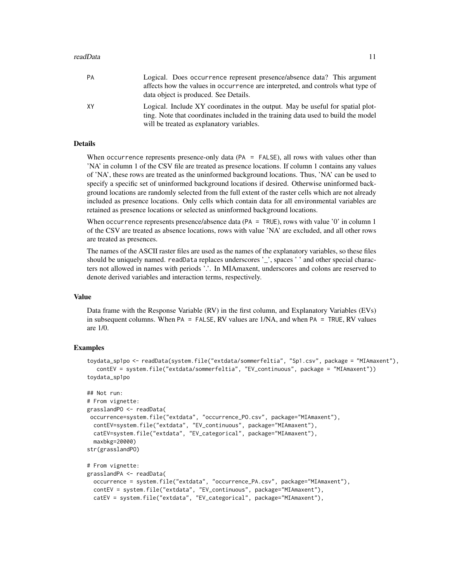#### readData and the contract of the contract of the contract of the contract of the contract of the contract of the contract of the contract of the contract of the contract of the contract of the contract of the contract of t

| PA | Logical. Does occurrence represent presence/absence data? This argument<br>affects how the values in occurrence are interpreted, and controls what type of<br>data object is produced. See Details.              |
|----|------------------------------------------------------------------------------------------------------------------------------------------------------------------------------------------------------------------|
| XY | Logical. Include XY coordinates in the output. May be useful for spatial plot-<br>ting. Note that coordinates included in the training data used to build the model<br>will be treated as explanatory variables. |

#### Details

When occurrence represents presence-only data (PA = FALSE), all rows with values other than 'NA' in column 1 of the CSV file are treated as presence locations. If column 1 contains any values of 'NA', these rows are treated as the uninformed background locations. Thus, 'NA' can be used to specify a specific set of uninformed background locations if desired. Otherwise uninformed background locations are randomly selected from the full extent of the raster cells which are not already included as presence locations. Only cells which contain data for all environmental variables are retained as presence locations or selected as uninformed background locations.

When occurrence represents presence/absence data (PA = TRUE), rows with value '0' in column 1 of the CSV are treated as absence locations, rows with value 'NA' are excluded, and all other rows are treated as presences.

The names of the ASCII raster files are used as the names of the explanatory variables, so these files should be uniquely named. readData replaces underscores '\_', spaces ' ' and other special characters not allowed in names with periods '.'. In MIAmaxent, underscores and colons are reserved to denote derived variables and interaction terms, respectively.

#### Value

Data frame with the Response Variable (RV) in the first column, and Explanatory Variables (EVs) in subsequent columns. When PA = FALSE, RV values are 1/NA, and when PA = TRUE, RV values are 1/0.

#### Examples

```
toydata_sp1po <- readData(system.file("extdata/sommerfeltia", "Sp1.csv", package = "MIAmaxent"),
  contEV = system.file("extdata/sommerfeltia", "EV_continuous", package = "MIAmaxent"))
toydata_sp1po
```

```
## Not run:
# From vignette:
grasslandPO <- readData(
occurrence=system.file("extdata", "occurrence_PO.csv", package="MIAmaxent"),
 contEV=system.file("extdata", "EV_continuous", package="MIAmaxent"),
 catEV=system.file("extdata", "EV_categorical", package="MIAmaxent"),
 maxbkg=20000)
str(grasslandPO)
# From vignette:
grasslandPA <- readData(
 occurrence = system.file("extdata", "occurrence_PA.csv", package="MIAmaxent"),
```

```
contEV = system.file("extdata", "EV_continuous", package="MIAmaxent"),
catEV = system.file("extdata", "EV_categorical", package="MIAmaxent"),
```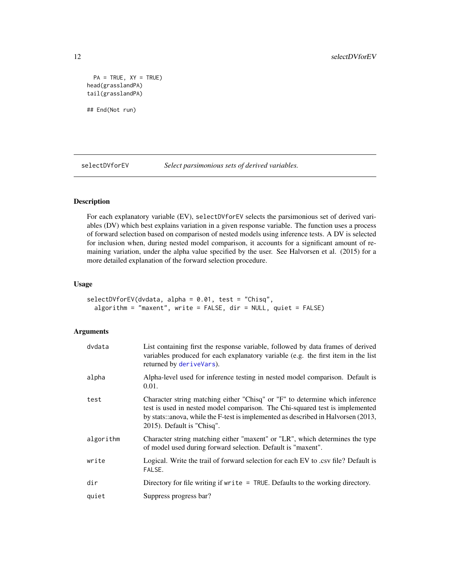```
PA = TRUE, XY = TRUEhead(grasslandPA)
tail(grasslandPA)
## End(Not run)
```
<span id="page-11-1"></span>selectDVforEV *Select parsimonious sets of derived variables.*

#### Description

For each explanatory variable (EV), selectDVforEV selects the parsimonious set of derived variables (DV) which best explains variation in a given response variable. The function uses a process of forward selection based on comparison of nested models using inference tests. A DV is selected for inclusion when, during nested model comparison, it accounts for a significant amount of remaining variation, under the alpha value specified by the user. See Halvorsen et al. (2015) for a more detailed explanation of the forward selection procedure.

#### Usage

```
selectDVforEV(dvdata, alpha = 0.01, test = "Chisq",
  algorithm = "maxent", write = FALSE, dir = NULL, quiet = FALSE)
```

| dvdata    | List containing first the response variable, followed by data frames of derived<br>variables produced for each explanatory variable (e.g. the first item in the list<br>returned by deriveVars).                                                                                |
|-----------|---------------------------------------------------------------------------------------------------------------------------------------------------------------------------------------------------------------------------------------------------------------------------------|
| alpha     | Alpha-level used for inference testing in nested model comparison. Default is<br>0.01.                                                                                                                                                                                          |
| test      | Character string matching either "Chisq" or "F" to determine which inference<br>test is used in nested model comparison. The Chi-squared test is implemented<br>by stats::anova, while the F-test is implemented as described in Halvorsen (2013,<br>2015). Default is "Chisq". |
| algorithm | Character string matching either "maxent" or "LR", which determines the type<br>of model used during forward selection. Default is "maxent".                                                                                                                                    |
| write     | Logical. Write the trail of forward selection for each EV to .csv file? Default is<br>FALSE.                                                                                                                                                                                    |
| dir       | Directory for file writing if $write = TRUE$ . Defaults to the working directory.                                                                                                                                                                                               |
| quiet     | Suppress progress bar?                                                                                                                                                                                                                                                          |

<span id="page-11-0"></span>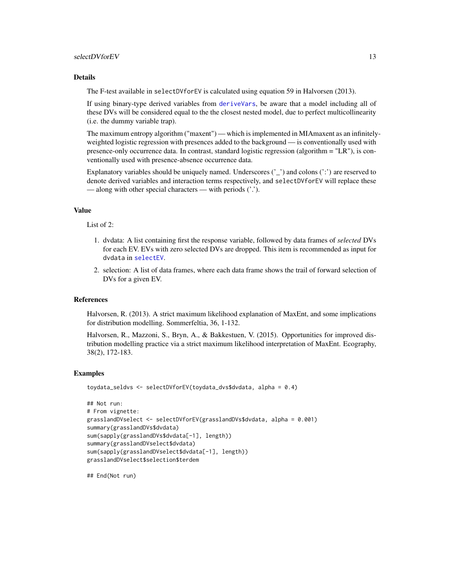#### <span id="page-12-0"></span>selectDVforEV 13

#### Details

The F-test available in selectDVforEV is calculated using equation 59 in Halvorsen (2013).

If using binary-type derived variables from [deriveVars](#page-2-1), be aware that a model including all of these DVs will be considered equal to the the closest nested model, due to perfect multicollinearity (i.e. the dummy variable trap).

The maximum entropy algorithm ("maxent") — which is implemented in MIAmaxent as an infinitelyweighted logistic regression with presences added to the background — is conventionally used with presence-only occurrence data. In contrast, standard logistic regression (algorithm = "LR"), is conventionally used with presence-absence occurrence data.

Explanatory variables should be uniquely named. Underscores  $('')$  and colons  $('')$  are reserved to denote derived variables and interaction terms respectively, and selectDVforEV will replace these — along with other special characters — with periods ('.').

#### Value

List of 2:

- 1. dvdata: A list containing first the response variable, followed by data frames of *selected* DVs for each EV. EVs with zero selected DVs are dropped. This item is recommended as input for dvdata in [selectEV](#page-13-1).
- 2. selection: A list of data frames, where each data frame shows the trail of forward selection of DVs for a given EV.

#### References

Halvorsen, R. (2013). A strict maximum likelihood explanation of MaxEnt, and some implications for distribution modelling. Sommerfeltia, 36, 1-132.

Halvorsen, R., Mazzoni, S., Bryn, A., & Bakkestuen, V. (2015). Opportunities for improved distribution modelling practice via a strict maximum likelihood interpretation of MaxEnt. Ecography, 38(2), 172-183.

#### Examples

```
toydata_seldvs <- selectDVforEV(toydata_dvs$dvdata, alpha = 0.4)
```

```
## Not run:
# From vignette:
grasslandDVselect <- selectDVforEV(grasslandDVs$dvdata, alpha = 0.001)
summary(grasslandDVs$dvdata)
sum(sapply(grasslandDVs$dvdata[-1], length))
summary(grasslandDVselect$dvdata)
sum(sapply(grasslandDVselect$dvdata[-1], length))
grasslandDVselect$selection$terdem
```
## End(Not run)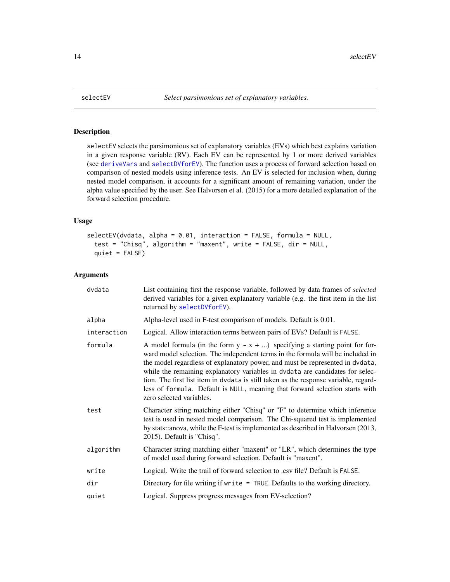<span id="page-13-1"></span><span id="page-13-0"></span>

#### Description

selectEV selects the parsimonious set of explanatory variables (EVs) which best explains variation in a given response variable (RV). Each EV can be represented by 1 or more derived variables (see [deriveVars](#page-2-1) and [selectDVforEV](#page-11-1)). The function uses a process of forward selection based on comparison of nested models using inference tests. An EV is selected for inclusion when, during nested model comparison, it accounts for a significant amount of remaining variation, under the alpha value specified by the user. See Halvorsen et al. (2015) for a more detailed explanation of the forward selection procedure.

#### Usage

```
selectEV(dvdata, alpha = 0.01, interaction = FALSE, formula = NULL,
  test = "Chisq", algorithm = "maxent", write = FALSE, dir = NULL,
 quiet = FALSE)
```

| dvdata      | List containing first the response variable, followed by data frames of selected<br>derived variables for a given explanatory variable (e.g. the first item in the list<br>returned by selectDVforEV).                                                                                                                                                                                                                                                                                                                                    |
|-------------|-------------------------------------------------------------------------------------------------------------------------------------------------------------------------------------------------------------------------------------------------------------------------------------------------------------------------------------------------------------------------------------------------------------------------------------------------------------------------------------------------------------------------------------------|
| alpha       | Alpha-level used in F-test comparison of models. Default is 0.01.                                                                                                                                                                                                                                                                                                                                                                                                                                                                         |
| interaction | Logical. Allow interaction terms between pairs of EVs? Default is FALSE.                                                                                                                                                                                                                                                                                                                                                                                                                                                                  |
| formula     | A model formula (in the form $y \sim x + $ ) specifying a starting point for for-<br>ward model selection. The independent terms in the formula will be included in<br>the model regardless of explanatory power, and must be represented in dvdata,<br>while the remaining explanatory variables in dvdata are candidates for selec-<br>tion. The first list item in dvdata is still taken as the response variable, regard-<br>less of formula. Default is NULL, meaning that forward selection starts with<br>zero selected variables. |
| test        | Character string matching either "Chisq" or "F" to determine which inference<br>test is used in nested model comparison. The Chi-squared test is implemented<br>by stats::anova, while the F-test is implemented as described in Halvorsen (2013,<br>2015). Default is "Chisq".                                                                                                                                                                                                                                                           |
| algorithm   | Character string matching either "maxent" or "LR", which determines the type<br>of model used during forward selection. Default is "maxent".                                                                                                                                                                                                                                                                                                                                                                                              |
| write       | Logical. Write the trail of forward selection to .csv file? Default is FALSE.                                                                                                                                                                                                                                                                                                                                                                                                                                                             |
| dir         | Directory for file writing if write = TRUE. Defaults to the working directory.                                                                                                                                                                                                                                                                                                                                                                                                                                                            |
| quiet       | Logical. Suppress progress messages from EV-selection?                                                                                                                                                                                                                                                                                                                                                                                                                                                                                    |
|             |                                                                                                                                                                                                                                                                                                                                                                                                                                                                                                                                           |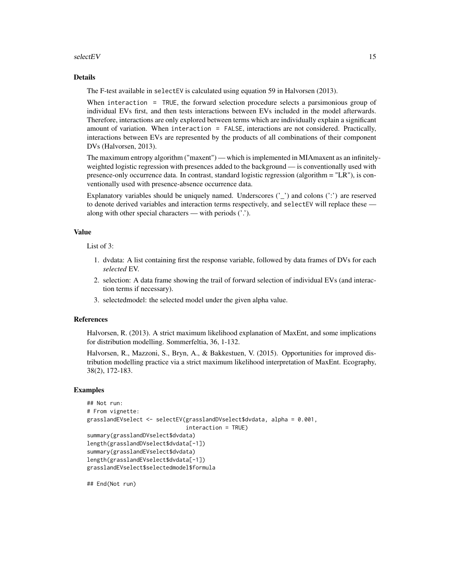#### $selectEV$  15

#### Details

The F-test available in selectEV is calculated using equation 59 in Halvorsen (2013).

When interaction = TRUE, the forward selection procedure selects a parsimonious group of individual EVs first, and then tests interactions between EVs included in the model afterwards. Therefore, interactions are only explored between terms which are individually explain a significant amount of variation. When interaction = FALSE, interactions are not considered. Practically, interactions between EVs are represented by the products of all combinations of their component DVs (Halvorsen, 2013).

The maximum entropy algorithm ("maxent") — which is implemented in MIAmaxent as an infinitelyweighted logistic regression with presences added to the background — is conventionally used with presence-only occurrence data. In contrast, standard logistic regression (algorithm = "LR"), is conventionally used with presence-absence occurrence data.

Explanatory variables should be uniquely named. Underscores  $('')$  and colons  $('')$  are reserved to denote derived variables and interaction terms respectively, and selectEV will replace these along with other special characters — with periods ('.').

#### Value

List of 3:

- 1. dvdata: A list containing first the response variable, followed by data frames of DVs for each *selected* EV.
- 2. selection: A data frame showing the trail of forward selection of individual EVs (and interaction terms if necessary).
- 3. selectedmodel: the selected model under the given alpha value.

#### References

Halvorsen, R. (2013). A strict maximum likelihood explanation of MaxEnt, and some implications for distribution modelling. Sommerfeltia, 36, 1-132.

Halvorsen, R., Mazzoni, S., Bryn, A., & Bakkestuen, V. (2015). Opportunities for improved distribution modelling practice via a strict maximum likelihood interpretation of MaxEnt. Ecography, 38(2), 172-183.

#### Examples

```
## Not run:
# From vignette:
grasslandEVselect <- selectEV(grasslandDVselect$dvdata, alpha = 0.001,
                              interaction = TRUE)
summary(grasslandDVselect$dvdata)
length(grasslandDVselect$dvdata[-1])
summary(grasslandEVselect$dvdata)
length(grasslandEVselect$dvdata[-1])
grasslandEVselect$selectedmodel$formula
```
## End(Not run)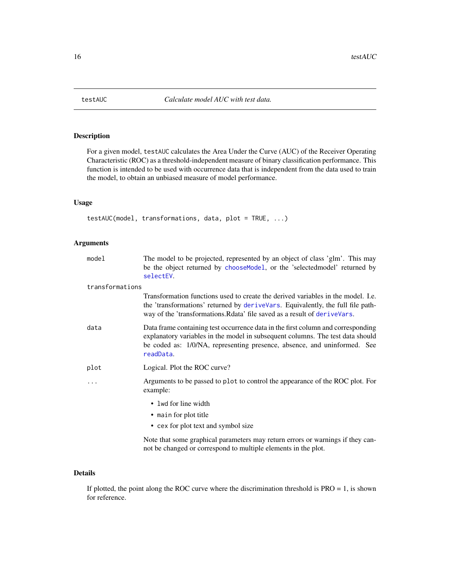<span id="page-15-0"></span>

#### Description

For a given model, testAUC calculates the Area Under the Curve (AUC) of the Receiver Operating Characteristic (ROC) as a threshold-independent measure of binary classification performance. This function is intended to be used with occurrence data that is independent from the data used to train the model, to obtain an unbiased measure of model performance.

#### Usage

```
testAUC(model, transformations, data, plot = TRUE, ...)
```
#### Arguments

| model           | The model to be projected, represented by an object of class 'glm'. This may<br>be the object returned by choose Model, or the 'selected model' returned by<br>selectEV.                                                                                    |
|-----------------|-------------------------------------------------------------------------------------------------------------------------------------------------------------------------------------------------------------------------------------------------------------|
| transformations |                                                                                                                                                                                                                                                             |
|                 | Transformation functions used to create the derived variables in the model. I.e.<br>the 'transformations' returned by deriveVars. Equivalently, the full file path-<br>way of the 'transformations. Rdata' file saved as a result of deriveVars.            |
| data            | Data frame containing test occurrence data in the first column and corresponding<br>explanatory variables in the model in subsequent columns. The test data should<br>be coded as: 1/0/NA, representing presence, absence, and uninformed. See<br>readData. |
| plot            | Logical. Plot the ROC curve?                                                                                                                                                                                                                                |
| $\cdots$        | Arguments to be passed to plot to control the appearance of the ROC plot. For<br>example:                                                                                                                                                                   |
|                 | • lwd for line width                                                                                                                                                                                                                                        |
|                 | • main for plot title                                                                                                                                                                                                                                       |
|                 | • cex for plot text and symbol size                                                                                                                                                                                                                         |
|                 | Note that some graphical parameters may return errors or warnings if they can-                                                                                                                                                                              |

### Details

If plotted, the point along the ROC curve where the discrimination threshold is PRO = 1, is shown for reference.

not be changed or correspond to multiple elements in the plot.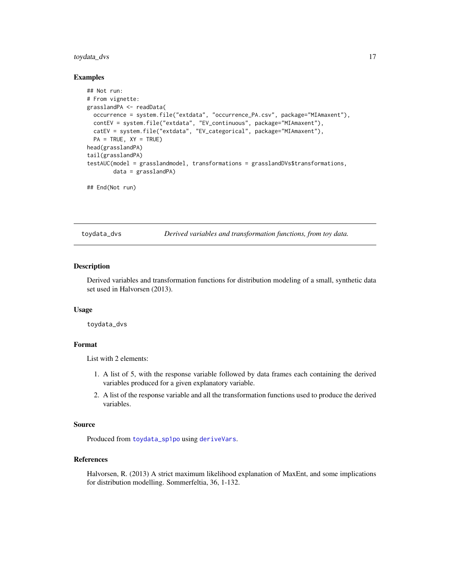#### <span id="page-16-0"></span>toydata\_dvs 17

#### Examples

```
## Not run:
# From vignette:
grasslandPA <- readData(
  occurrence = system.file("extdata", "occurrence_PA.csv", package="MIAmaxent"),
  contEV = system.file("extdata", "EV_continuous", package="MIAmaxent"),
  catEV = system.file("extdata", "EV_categorical", package="MIAmaxent"),
  PA = TRUE, XY = TRUE)
head(grasslandPA)
tail(grasslandPA)
testAUC(model = grasslandmodel, transformations = grasslandDVs$transformations,
        data = grasslandPA)
## End(Not run)
```
<span id="page-16-1"></span>toydata\_dvs *Derived variables and transformation functions, from toy data.*

#### Description

Derived variables and transformation functions for distribution modeling of a small, synthetic data set used in Halvorsen (2013).

#### Usage

toydata\_dvs

#### Format

List with 2 elements:

- 1. A list of 5, with the response variable followed by data frames each containing the derived variables produced for a given explanatory variable.
- 2. A list of the response variable and all the transformation functions used to produce the derived variables.

#### Source

Produced from [toydata\\_sp1po](#page-18-1) using [deriveVars](#page-2-1).

#### References

Halvorsen, R. (2013) A strict maximum likelihood explanation of MaxEnt, and some implications for distribution modelling. Sommerfeltia, 36, 1-132.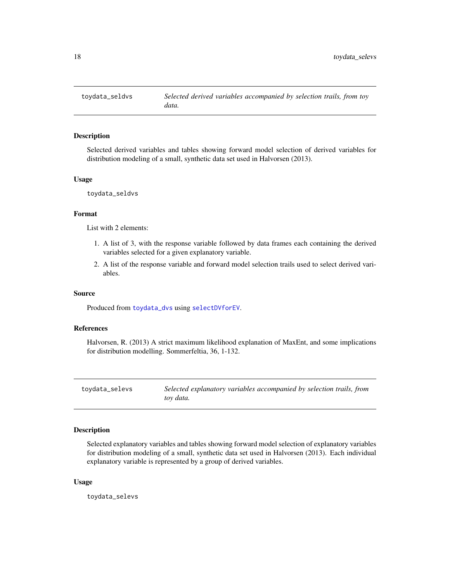<span id="page-17-1"></span><span id="page-17-0"></span>

#### Description

Selected derived variables and tables showing forward model selection of derived variables for distribution modeling of a small, synthetic data set used in Halvorsen (2013).

#### Usage

toydata\_seldvs

#### Format

List with 2 elements:

- 1. A list of 3, with the response variable followed by data frames each containing the derived variables selected for a given explanatory variable.
- 2. A list of the response variable and forward model selection trails used to select derived variables.

#### Source

Produced from [toydata\\_dvs](#page-16-1) using [selectDVforEV](#page-11-1).

#### References

Halvorsen, R. (2013) A strict maximum likelihood explanation of MaxEnt, and some implications for distribution modelling. Sommerfeltia, 36, 1-132.

toydata\_selevs *Selected explanatory variables accompanied by selection trails, from toy data.*

#### Description

Selected explanatory variables and tables showing forward model selection of explanatory variables for distribution modeling of a small, synthetic data set used in Halvorsen (2013). Each individual explanatory variable is represented by a group of derived variables.

#### Usage

toydata\_selevs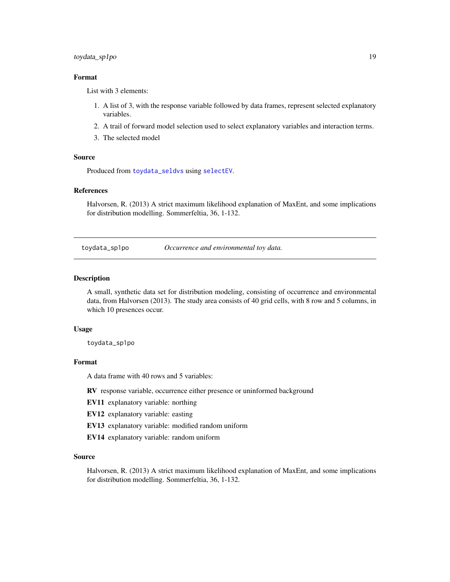#### <span id="page-18-0"></span>toydata\_sp1po 19

#### Format

List with 3 elements:

- 1. A list of 3, with the response variable followed by data frames, represent selected explanatory variables.
- 2. A trail of forward model selection used to select explanatory variables and interaction terms.
- 3. The selected model

#### Source

Produced from [toydata\\_seldvs](#page-17-1) using [selectEV](#page-13-1).

#### References

Halvorsen, R. (2013) A strict maximum likelihood explanation of MaxEnt, and some implications for distribution modelling. Sommerfeltia, 36, 1-132.

<span id="page-18-1"></span>toydata\_sp1po *Occurrence and environmental toy data.*

#### **Description**

A small, synthetic data set for distribution modeling, consisting of occurrence and environmental data, from Halvorsen (2013). The study area consists of 40 grid cells, with 8 row and 5 columns, in which 10 presences occur.

#### Usage

toydata\_sp1po

#### Format

A data frame with 40 rows and 5 variables:

RV response variable, occurrence either presence or uninformed background

EV11 explanatory variable: northing

EV12 explanatory variable: easting

EV13 explanatory variable: modified random uniform

EV14 explanatory variable: random uniform

#### Source

Halvorsen, R. (2013) A strict maximum likelihood explanation of MaxEnt, and some implications for distribution modelling. Sommerfeltia, 36, 1-132.